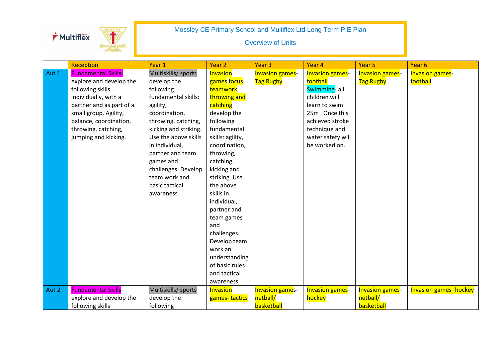



|       | Reception                  | Year 1                | Year <sub>2</sub> | Year <sub>3</sub>      | Year 4                 | Year <sub>5</sub>      | Year <sub>6</sub>             |
|-------|----------------------------|-----------------------|-------------------|------------------------|------------------------|------------------------|-------------------------------|
| Aut 1 | <b>Fundamental Skills-</b> | Multiskills/ sports   | Invasion          | <b>Invasion games-</b> | <b>Invasion games-</b> | <b>Invasion games-</b> | <b>Invasion games-</b>        |
|       | explore and develop the    | develop the           | games focus       | <b>Tag Rugby</b>       | football               | <b>Tag Rugby</b>       | football                      |
|       | following skills           | following             | teamwork,         |                        | Swimming- all          |                        |                               |
|       | individually, with a       | fundamental skills:   | throwing and      |                        | children will          |                        |                               |
|       | partner and as part of a   | agility,              | catching          |                        | learn to swim          |                        |                               |
|       | small group. Agility,      | coordination,         | develop the       |                        | 25m. Once this         |                        |                               |
|       | balance, coordination,     | throwing, catching,   | following         |                        | achieved stroke        |                        |                               |
|       | throwing, catching,        | kicking and striking. | fundamental       |                        | technique and          |                        |                               |
|       | jumping and kicking.       | Use the above skills  | skills: agility,  |                        | water safety will      |                        |                               |
|       |                            | in individual,        | coordination,     |                        | be worked on.          |                        |                               |
|       |                            | partner and team      | throwing,         |                        |                        |                        |                               |
|       |                            | games and             | catching,         |                        |                        |                        |                               |
|       |                            | challenges. Develop   | kicking and       |                        |                        |                        |                               |
|       |                            | team work and         | striking. Use     |                        |                        |                        |                               |
|       |                            | basic tactical        | the above         |                        |                        |                        |                               |
|       |                            | awareness.            | skills in         |                        |                        |                        |                               |
|       |                            |                       | individual,       |                        |                        |                        |                               |
|       |                            |                       | partner and       |                        |                        |                        |                               |
|       |                            |                       | team games        |                        |                        |                        |                               |
|       |                            |                       | and               |                        |                        |                        |                               |
|       |                            |                       | challenges.       |                        |                        |                        |                               |
|       |                            |                       | Develop team      |                        |                        |                        |                               |
|       |                            |                       | work an           |                        |                        |                        |                               |
|       |                            |                       | understanding     |                        |                        |                        |                               |
|       |                            |                       | of basic rules    |                        |                        |                        |                               |
|       |                            |                       | and tactical      |                        |                        |                        |                               |
|       |                            |                       | awareness.        |                        |                        |                        |                               |
| Aut 2 | <b>Fundamental Skills-</b> | Multiskills/ sports   | Invasion          | <b>Invasion games-</b> | <b>Invasion games-</b> | <b>Invasion games-</b> | <b>Invasion games- hockey</b> |
|       | explore and develop the    | develop the           | games-tactics     | netball/               | hockey                 | netball/               |                               |
|       | following skills           | following             |                   | basketball             |                        | basketball             |                               |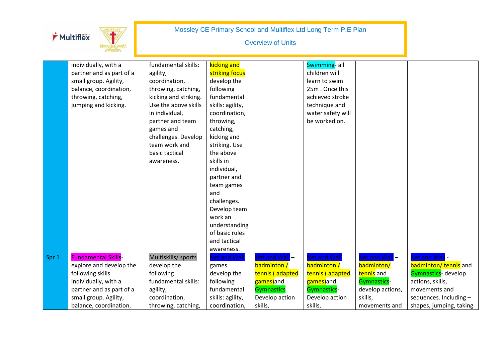|       | Multiflex                                                                                                                                                                        |                                                                                                                                                                                                                                                     |                                                                                                                                                                                                                                                                                                                                                   | <b>Overview of Units</b>                                                                                        | Mossley CE Primary School and Multiflex Ltd Long Term P.E Plan                                                                              |                                                                                                                 |                                                                                                                                                         |
|-------|----------------------------------------------------------------------------------------------------------------------------------------------------------------------------------|-----------------------------------------------------------------------------------------------------------------------------------------------------------------------------------------------------------------------------------------------------|---------------------------------------------------------------------------------------------------------------------------------------------------------------------------------------------------------------------------------------------------------------------------------------------------------------------------------------------------|-----------------------------------------------------------------------------------------------------------------|---------------------------------------------------------------------------------------------------------------------------------------------|-----------------------------------------------------------------------------------------------------------------|---------------------------------------------------------------------------------------------------------------------------------------------------------|
|       | individually, with a<br>partner and as part of a<br>small group. Agility,<br>balance, coordination,<br>throwing, catching,<br>jumping and kicking.                               | fundamental skills:<br>agility,<br>coordination,<br>throwing, catching,<br>kicking and striking.<br>Use the above skills<br>in individual,<br>partner and team<br>games and<br>challenges. Develop<br>team work and<br>basic tactical<br>awareness. | kicking and<br>striking focus<br>develop the<br>following<br>fundamental<br>skills: agility,<br>coordination,<br>throwing,<br>catching,<br>kicking and<br>striking. Use<br>the above<br>skills in<br>individual,<br>partner and<br>team games<br>and<br>challenges.<br>Develop team<br>work an<br>understanding<br>of basic rules<br>and tactical |                                                                                                                 | Swimming- all<br>children will<br>learn to swim<br>25m. Once this<br>achieved stroke<br>technique and<br>water safety will<br>be worked on. |                                                                                                                 |                                                                                                                                                         |
| Spr 1 | <b>Fundamental Skills-</b><br>explore and develop the<br>following skills<br>individually, with a<br>partner and as part of a<br>small group. Agility,<br>balance, coordination, | Multiskills/ sports<br>develop the<br>following<br>fundamental skills:<br>agility,<br>coordination,<br>throwing, catching,                                                                                                                          | awareness.<br>Net and Wall<br>games<br>develop the<br>following<br>fundamental<br>skills: agility,<br>coordination,                                                                                                                                                                                                                               | Net and Wall -<br>badminton /<br>tennis (adapted<br>games)and<br><b>Gymnastics</b><br>Develop action<br>skills, | <b>Net and Wall</b><br>badminton /<br>tennis (adapted<br>games)and<br>Gymnastics-<br>Develop action<br>skills,                              | Net and Wall-<br>badminton/<br>tennis and<br><b>Gymnastics-</b><br>develop actions,<br>skills,<br>movements and | Net and Wall -<br>badminton/tennis and<br>Gymnastics- develop<br>actions, skills,<br>movements and<br>sequences. Including -<br>shapes, jumping, taking |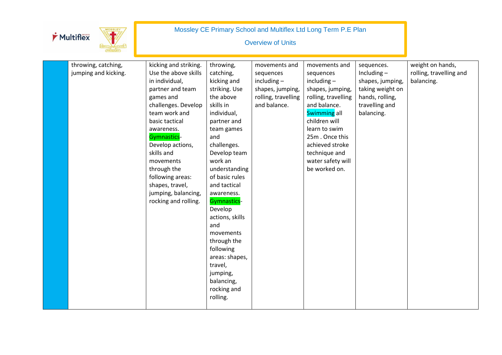| Multiflex                                   |                                                                                                                                                                                                                                                                                                                                             |                                                                                                                                                                                                                                                                                                                                                                                                                               | <b>Overview of Units</b>                                                                               | Mossley CE Primary School and Multiflex Ltd Long Term P.E Plan                                                                                                                                                                                       |                                                                                                                        |                                                           |
|---------------------------------------------|---------------------------------------------------------------------------------------------------------------------------------------------------------------------------------------------------------------------------------------------------------------------------------------------------------------------------------------------|-------------------------------------------------------------------------------------------------------------------------------------------------------------------------------------------------------------------------------------------------------------------------------------------------------------------------------------------------------------------------------------------------------------------------------|--------------------------------------------------------------------------------------------------------|------------------------------------------------------------------------------------------------------------------------------------------------------------------------------------------------------------------------------------------------------|------------------------------------------------------------------------------------------------------------------------|-----------------------------------------------------------|
| throwing, catching,<br>jumping and kicking. | kicking and striking.<br>Use the above skills<br>in individual,<br>partner and team<br>games and<br>challenges. Develop<br>team work and<br>basic tactical<br>awareness.<br>Gymnastics-<br>Develop actions,<br>skills and<br>movements<br>through the<br>following areas:<br>shapes, travel,<br>jumping, balancing,<br>rocking and rolling. | throwing,<br>catching,<br>kicking and<br>striking. Use<br>the above<br>skills in<br>individual,<br>partner and<br>team games<br>and<br>challenges.<br>Develop team<br>work an<br>understanding<br>of basic rules<br>and tactical<br>awareness.<br>Gymnastics-<br>Develop<br>actions, skills<br>and<br>movements<br>through the<br>following<br>areas: shapes,<br>travel,<br>jumping,<br>balancing,<br>rocking and<br>rolling. | movements and<br>sequences<br>$including -$<br>shapes, jumping,<br>rolling, travelling<br>and balance. | movements and<br>sequences<br>$including -$<br>shapes, jumping,<br>rolling, travelling<br>and balance.<br>Swimming all<br>children will<br>learn to swim<br>25m. Once this<br>achieved stroke<br>technique and<br>water safety will<br>be worked on. | sequences.<br>Including $-$<br>shapes, jumping,<br>taking weight on<br>hands, rolling,<br>travelling and<br>balancing. | weight on hands,<br>rolling, travelling and<br>balancing. |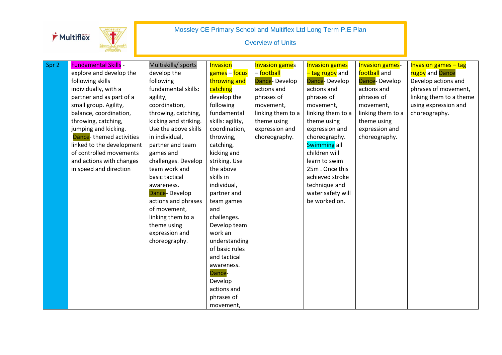| Multiflex | PRIMARY |
|-----------|---------|
|-----------|---------|

| Spr 2 | <b>Fundamental Skills -</b> | Multiskills/ sports   | Invasion         | <b>Invasion games</b> | <b>Invasion games</b> | <b>Invasion games-</b> | <b>Invasion games - tag</b> |
|-------|-----------------------------|-----------------------|------------------|-----------------------|-----------------------|------------------------|-----------------------------|
|       | explore and develop the     | develop the           | games – focus    | - football            | - tag rugby and       | football and           | rugby and Dance             |
|       | following skills            | following             | throwing and     | Dance-Develop         | Dance-Develop         | Dance-Develop          | Develop actions and         |
|       | individually, with a        | fundamental skills:   | catching         | actions and           | actions and           | actions and            | phrases of movement,        |
|       | partner and as part of a    | agility,              | develop the      | phrases of            | phrases of            | phrases of             | linking them to a theme     |
|       | small group. Agility,       | coordination,         | following        | movement,             | movement,             | movement,              | using expression and        |
|       | balance, coordination,      | throwing, catching,   | fundamental      | linking them to a     | linking them to a     | linking them to a      | choreography.               |
|       | throwing, catching,         | kicking and striking. | skills: agility, | theme using           | theme using           | theme using            |                             |
|       | jumping and kicking.        | Use the above skills  | coordination,    | expression and        | expression and        | expression and         |                             |
|       | Dance-themed activities     | in individual,        | throwing,        | choreography.         | choreography.         | choreography.          |                             |
|       | linked to the development   | partner and team      | catching,        |                       | Swimming all          |                        |                             |
|       | of controlled movements     | games and             | kicking and      |                       | children will         |                        |                             |
|       | and actions with changes    | challenges. Develop   | striking. Use    |                       | learn to swim         |                        |                             |
|       | in speed and direction      | team work and         | the above        |                       | 25m. Once this        |                        |                             |
|       |                             | basic tactical        | skills in        |                       | achieved stroke       |                        |                             |
|       |                             | awareness.            | individual,      |                       | technique and         |                        |                             |
|       |                             | Dance-Develop         | partner and      |                       | water safety will     |                        |                             |
|       |                             | actions and phrases   | team games       |                       | be worked on.         |                        |                             |
|       |                             | of movement,          | and              |                       |                       |                        |                             |
|       |                             | linking them to a     | challenges.      |                       |                       |                        |                             |
|       |                             | theme using           | Develop team     |                       |                       |                        |                             |
|       |                             | expression and        | work an          |                       |                       |                        |                             |
|       |                             | choreography.         | understanding    |                       |                       |                        |                             |
|       |                             |                       | of basic rules   |                       |                       |                        |                             |
|       |                             |                       | and tactical     |                       |                       |                        |                             |
|       |                             |                       | awareness.       |                       |                       |                        |                             |
|       |                             |                       | Dance-           |                       |                       |                        |                             |
|       |                             |                       | Develop          |                       |                       |                        |                             |
|       |                             |                       | actions and      |                       |                       |                        |                             |
|       |                             |                       | phrases of       |                       |                       |                        |                             |
|       |                             |                       | movement,        |                       |                       |                        |                             |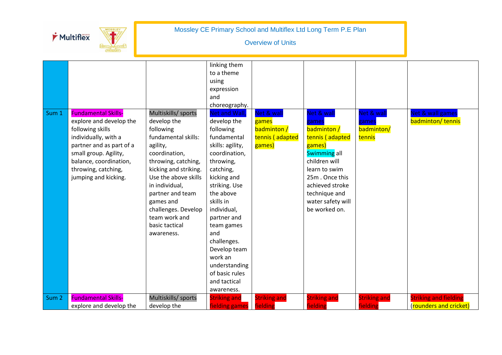



| Sum 1            | <b>Fundamental Skills-</b><br>explore and develop the<br>following skills<br>individually, with a<br>partner and as part of a<br>small group. Agility,<br>balance, coordination,<br>throwing, catching,<br>jumping and kicking. | Multiskills/ sports<br>develop the<br>following<br>fundamental skills:<br>agility,<br>coordination,<br>throwing, catching,<br>kicking and striking.<br>Use the above skills<br>in individual,<br>partner and team<br>games and<br>challenges. Develop<br>team work and<br>basic tactical<br>awareness. | linking them<br>to a theme<br>using<br>expression<br>and<br>choreography.<br>Net and Wall,<br>develop the<br>following<br>fundamental<br>skills: agility,<br>coordination,<br>throwing,<br>catching,<br>kicking and<br>striking. Use<br>the above<br>skills in<br>individual,<br>partner and<br>team games<br>and<br>challenges.<br>Develop team<br>work an<br>understanding<br>of basic rules<br>and tactical<br>awareness. | Net & wall<br>games<br>badminton /<br>tennis (adapted<br>games) | Net & wall<br>games<br>badminton /<br>tennis (adapted<br>games)<br><b>Swimming all</b><br>children will<br>learn to swim<br>25m, Once this<br>achieved stroke<br>technique and<br>water safety will<br>be worked on. | Net & wall<br>games<br>badminton/<br>tennis | Net & wall games<br>badminton/tennis                   |
|------------------|---------------------------------------------------------------------------------------------------------------------------------------------------------------------------------------------------------------------------------|--------------------------------------------------------------------------------------------------------------------------------------------------------------------------------------------------------------------------------------------------------------------------------------------------------|------------------------------------------------------------------------------------------------------------------------------------------------------------------------------------------------------------------------------------------------------------------------------------------------------------------------------------------------------------------------------------------------------------------------------|-----------------------------------------------------------------|----------------------------------------------------------------------------------------------------------------------------------------------------------------------------------------------------------------------|---------------------------------------------|--------------------------------------------------------|
| Sum <sub>2</sub> | <b>Fundamental Skills-</b><br>explore and develop the                                                                                                                                                                           | Multiskills/ sports<br>develop the                                                                                                                                                                                                                                                                     | <b>Striking and</b><br>fielding games fielding                                                                                                                                                                                                                                                                                                                                                                               | <b>Striking and</b>                                             | <b>Striking and</b><br>fielding                                                                                                                                                                                      | <b>Striking and</b><br>fielding             | <b>Striking and fielding</b><br>(rounders and cricket) |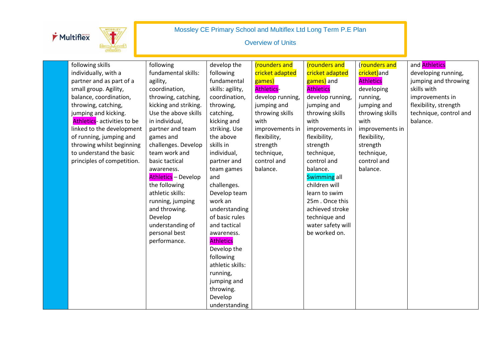| Multiflex |  |
|-----------|--|
|           |  |
|           |  |



| following skills            | following                  | develop the      | (rounders and     | (rounders and     | (rounders and    | and <b>Athletics</b>   |
|-----------------------------|----------------------------|------------------|-------------------|-------------------|------------------|------------------------|
| individually, with a        | fundamental skills:        | following        | cricket adapted   | cricket adapted   | cricket)and      | developing running,    |
| partner and as part of a    | agility,                   | fundamental      | games)            | games) and        | <b>Athletics</b> | jumping and throwing   |
| small group. Agility,       | coordination,              | skills: agility, | <b>Athletics-</b> | <b>Athletics</b>  | developing       | skills with            |
| balance, coordination,      | throwing, catching,        | coordination,    | develop running,  | develop running,  | running,         | improvements in        |
| throwing, catching,         | kicking and striking.      | throwing,        | jumping and       | jumping and       | jumping and      | flexibility, strength  |
| jumping and kicking.        | Use the above skills       | catching,        | throwing skills   | throwing skills   | throwing skills  | technique, control and |
| Athletics- activities to be | in individual,             | kicking and      | with              | with              | with             | balance.               |
| linked to the development   | partner and team           | striking. Use    | improvements in   | improvements in   | improvements in  |                        |
| of running, jumping and     | games and                  | the above        | flexibility,      | flexibility,      | flexibility,     |                        |
| throwing whilst beginning   | challenges. Develop        | skills in        | strength          | strength          | strength         |                        |
| to understand the basic     | team work and              | individual,      | technique,        | technique,        | technique,       |                        |
| principles of competition.  | basic tactical             | partner and      | control and       | control and       | control and      |                        |
|                             | awareness.                 | team games       | balance.          | balance.          | balance.         |                        |
|                             | <b>Athletics</b> - Develop | and              |                   | Swimming all      |                  |                        |
|                             | the following              | challenges.      |                   | children will     |                  |                        |
|                             | athletic skills:           | Develop team     |                   | learn to swim     |                  |                        |
|                             | running, jumping           | work an          |                   | 25m. Once this    |                  |                        |
|                             | and throwing.              | understanding    |                   | achieved stroke   |                  |                        |
|                             | Develop                    | of basic rules   |                   | technique and     |                  |                        |
|                             | understanding of           | and tactical     |                   | water safety will |                  |                        |
|                             | personal best              | awareness.       |                   | be worked on.     |                  |                        |
|                             | performance.               | <b>Athletics</b> |                   |                   |                  |                        |
|                             |                            | Develop the      |                   |                   |                  |                        |
|                             |                            | following        |                   |                   |                  |                        |
|                             |                            | athletic skills: |                   |                   |                  |                        |
|                             |                            | running,         |                   |                   |                  |                        |
|                             |                            | jumping and      |                   |                   |                  |                        |
|                             |                            | throwing.        |                   |                   |                  |                        |
|                             |                            | Develop          |                   |                   |                  |                        |
|                             |                            | understanding    |                   |                   |                  |                        |